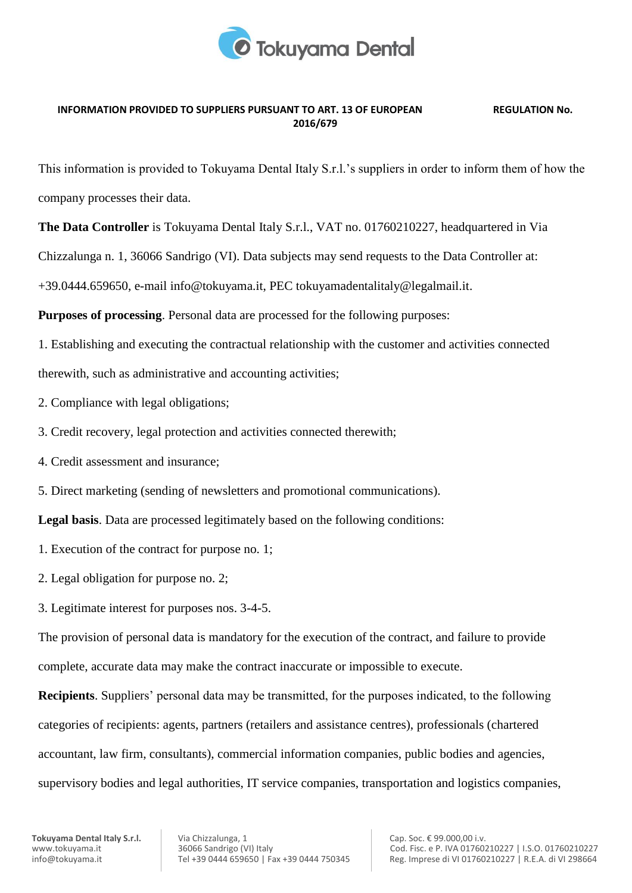

## **INFORMATION PROVIDED TO SUPPLIERS PURSUANT TO ART. 13 OF EUROPEAN REGULATION No. 2016/679**

This information is provided to Tokuyama Dental Italy S.r.l.'s suppliers in order to inform them of how the company processes their data.

**The Data Controller** is Tokuyama Dental Italy S.r.l., VAT no. 01760210227, headquartered in Via

Chizzalunga n. 1, 36066 Sandrigo (VI). Data subjects may send requests to the Data Controller at:

+39.0444.659650, e-mail info@tokuyama.it, PEC tokuyamadentalitaly@legalmail.it.

**Purposes of processing**. Personal data are processed for the following purposes:

1. Establishing and executing the contractual relationship with the customer and activities connected therewith, such as administrative and accounting activities;

- 2. Compliance with legal obligations;
- 3. Credit recovery, legal protection and activities connected therewith;
- 4. Credit assessment and insurance;
- 5. Direct marketing (sending of newsletters and promotional communications).

**Legal basis**. Data are processed legitimately based on the following conditions:

- 1. Execution of the contract for purpose no. 1;
- 2. Legal obligation for purpose no. 2;
- 3. Legitimate interest for purposes nos. 3-4-5.

The provision of personal data is mandatory for the execution of the contract, and failure to provide complete, accurate data may make the contract inaccurate or impossible to execute.

**Recipients**. Suppliers' personal data may be transmitted, for the purposes indicated, to the following categories of recipients: agents, partners (retailers and assistance centres), professionals (chartered accountant, law firm, consultants), commercial information companies, public bodies and agencies, supervisory bodies and legal authorities, IT service companies, transportation and logistics companies,